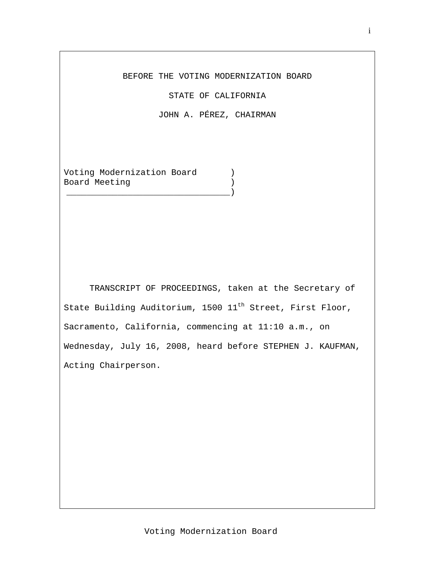## BEFORE THE VOTING MODERNIZATION BOARD

STATE OF CALIFORNIA

JOHN A. PÉREZ, CHAIRMAN

Voting Modernization Board ) Board Meeting ) \_\_\_\_\_\_\_\_\_\_\_\_\_\_\_\_\_\_\_\_\_\_\_\_\_\_\_\_\_\_\_\_)

TRANSCRIPT OF PROCEEDINGS, taken at the Secretary of State Building Auditorium, 1500 11<sup>th</sup> Street, First Floor, Sacramento, California, commencing at 11:10 a.m., on Wednesday, July 16, 2008, heard before STEPHEN J. KAUFMAN, Acting Chairperson.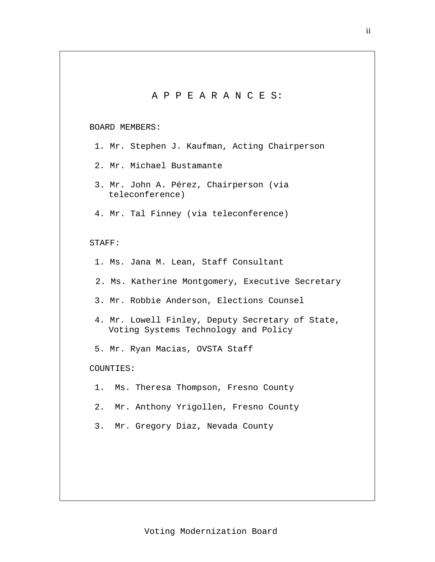A P P E A R A N C E S: BOARD MEMBERS: 1. Mr. Stephen J. Kaufman, Acting Chairperson 2. Mr. Michael Bustamante 3. Mr. John A. Pérez, Chairperson (via teleconference) 4. Mr. Tal Finney (via teleconference) STAFF: 1. Ms. Jana M. Lean, Staff Consultant 2. Ms. Katherine Montgomery, Executive Secretary 3. Mr. Robbie Anderson, Elections Counsel 4. Mr. Lowell Finley, Deputy Secretary of State, Voting Systems Technology and Policy 5. Mr. Ryan Macias, OVSTA Staff COUNTIES: 1. Ms. Theresa Thompson, Fresno County 2. Mr. Anthony Yrigollen, Fresno County 3. Mr. Gregory Diaz, Nevada County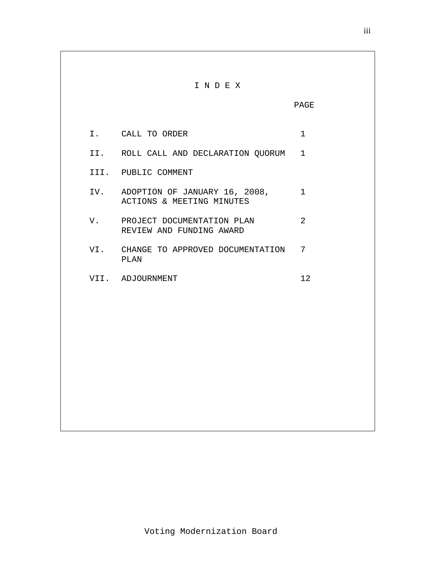## I N D E X PAGE I. CALL TO ORDER 1 II. ROLL CALL AND DECLARATION QUORUM 1 III. PUBLIC COMMENT IV. ADOPTION OF JANUARY 16, 2008, 1 ACTIONS & MEETING MINUTES V. PROJECT DOCUMENTATION PLAN 2 REVIEW AND FUNDING AWARD VI. CHANGE TO APPROVED DOCUMENTATION 7 PLAN VII. ADJOURNMENT 12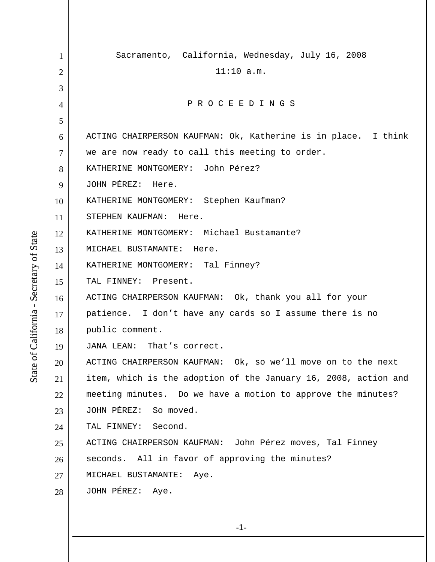1 2 3 4 5 6 7 8 9 10 11 12 13 14 15 16 17 18 19 20 21 22 23 24 25 26 27 28 Sacramento, California, Wednesday, July 16, 2008 11:10 a.m. P R O C E E D I N G S ACTING CHAIRPERSON KAUFMAN: Ok, Katherine is in place. I think we are now ready to call this meeting to order. KATHERINE MONTGOMERY: John Pérez? JOHN PÉREZ: Here. KATHERINE MONTGOMERY: Stephen Kaufman? STEPHEN KAUFMAN: Here. KATHERINE MONTGOMERY: Michael Bustamante? MICHAEL BUSTAMANTE: Here. KATHERINE MONTGOMERY: Tal Finney? TAL FINNEY: Present. ACTING CHAIRPERSON KAUFMAN: Ok, thank you all for your patience. I don't have any cards so I assume there is no public comment. JANA LEAN: That's correct. ACTING CHAIRPERSON KAUFMAN: Ok, so we'll move on to the next item, which is the adoption of the January 16, 2008, action and meeting minutes. Do we have a motion to approve the minutes? JOHN PÉREZ: So moved. TAL FINNEY: Second. ACTING CHAIRPERSON KAUFMAN: John Pérez moves, Tal Finney seconds. All in favor of approving the minutes? MICHAEL BUSTAMANTE: Aye. JOHN PÉREZ: Aye.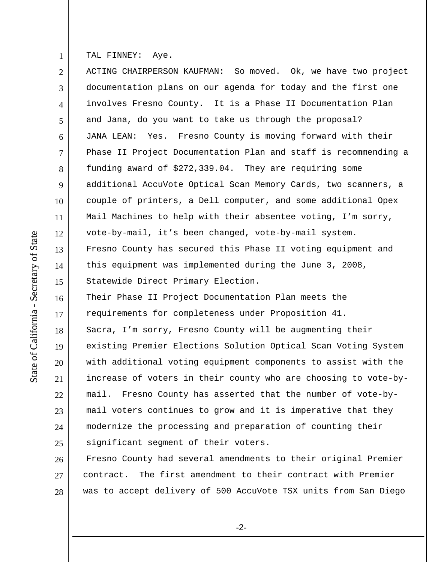1 TAL FINNEY: Aye.

2 3 4 5 6 7 8 9 10 11 12 13 14 15 16 17 18 19 20 21 22 23 24 ACTING CHAIRPERSON KAUFMAN: So moved. Ok, we have two project documentation plans on our agenda for today and the first one involves Fresno County. It is a Phase II Documentation Plan and Jana, do you want to take us through the proposal? JANA LEAN: Yes. Fresno County is moving forward with their Phase II Project Documentation Plan and staff is recommending a funding award of \$272,339.04. They are requiring some additional AccuVote Optical Scan Memory Cards, two scanners, a couple of printers, a Dell computer, and some additional Opex Mail Machines to help with their absentee voting, I'm sorry, vote-by-mail, it's been changed, vote-by-mail system. Fresno County has secured this Phase II voting equipment and this equipment was implemented during the June 3, 2008, Statewide Direct Primary Election. Their Phase II Project Documentation Plan meets the requirements for completeness under Proposition 41. Sacra, I'm sorry, Fresno County will be augmenting their existing Premier Elections Solution Optical Scan Voting System with additional voting equipment components to assist with the increase of voters in their county who are choosing to vote-bymail. Fresno County has asserted that the number of vote-bymail voters continues to grow and it is imperative that they modernize the processing and preparation of counting their

26 27 28 Fresno County had several amendments to their original Premier contract. The first amendment to their contract with Premier was to accept delivery of 500 AccuVote TSX units from San Diego

significant segment of their voters.

25

-2-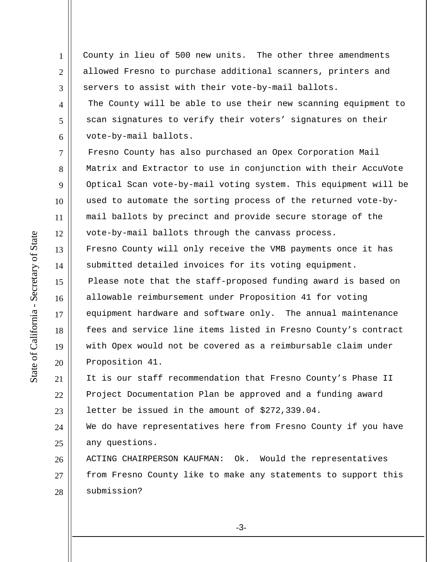1 2 3 4 County in lieu of 500 new units. The other three amendments allowed Fresno to purchase additional scanners, printers and servers to assist with their vote-by-mail ballots. The County will be able to use their new scanning equipment to

scan signatures to verify their voters' signatures on their vote-by-mail ballots.

7 8 9 10 11 12 13 14 15 16 17 18 19 20 Fresno County has also purchased an Opex Corporation Mail Matrix and Extractor to use in conjunction with their AccuVote Optical Scan vote-by-mail voting system. This equipment will be used to automate the sorting process of the returned vote-bymail ballots by precinct and provide secure storage of the vote-by-mail ballots through the canvass process. Fresno County will only receive the VMB payments once it has submitted detailed invoices for its voting equipment. Please note that the staff-proposed funding award is based on allowable reimbursement under Proposition 41 for voting equipment hardware and software only. The annual maintenance fees and service line items listed in Fresno County's contract with Opex would not be covered as a reimbursable claim under Proposition 41.

21 22 23 It is our staff recommendation that Fresno County's Phase II Project Documentation Plan be approved and a funding award letter be issued in the amount of \$272,339.04.

24 25 We do have representatives here from Fresno County if you have any questions.

26 27 28 ACTING CHAIRPERSON KAUFMAN: Ok. Would the representatives from Fresno County like to make any statements to support this submission?

5

6

-3-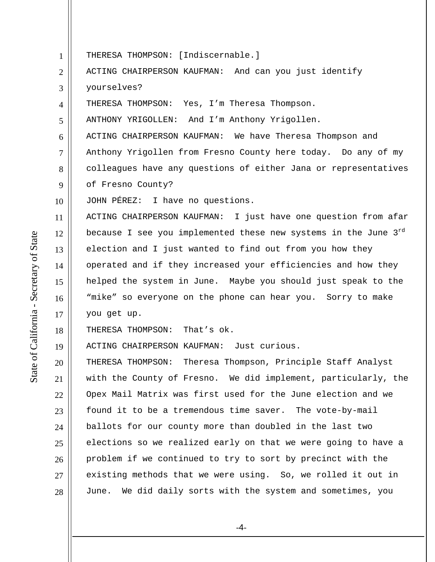1 THERESA THOMPSON: [Indiscernable.]

2 3 ACTING CHAIRPERSON KAUFMAN: And can you just identify yourselves?

4 THERESA THOMPSON: Yes, I'm Theresa Thompson.

5 ANTHONY YRIGOLLEN: And I'm Anthony Yrigollen.

6 7 8 9 ACTING CHAIRPERSON KAUFMAN: We have Theresa Thompson and Anthony Yrigollen from Fresno County here today. Do any of my colleagues have any questions of either Jana or representatives of Fresno County?

10 JOHN PÉREZ: I have no questions.

11 12 13 14 15 16 17 ACTING CHAIRPERSON KAUFMAN: I just have one question from afar because I see you implemented these new systems in the June  $3<sup>rd</sup>$ election and I just wanted to find out from you how they operated and if they increased your efficiencies and how they helped the system in June. Maybe you should just speak to the "mike" so everyone on the phone can hear you. Sorry to make you get up.

18 THERESA THOMPSON: That's ok.

19 ACTING CHAIRPERSON KAUFMAN: Just curious.

20 21 22 23 24 25 26 27 28 THERESA THOMPSON: Theresa Thompson, Principle Staff Analyst with the County of Fresno. We did implement, particularly, the Opex Mail Matrix was first used for the June election and we found it to be a tremendous time saver. The vote-by-mail ballots for our county more than doubled in the last two elections so we realized early on that we were going to have a problem if we continued to try to sort by precinct with the existing methods that we were using. So, we rolled it out in June. We did daily sorts with the system and sometimes, you

-4-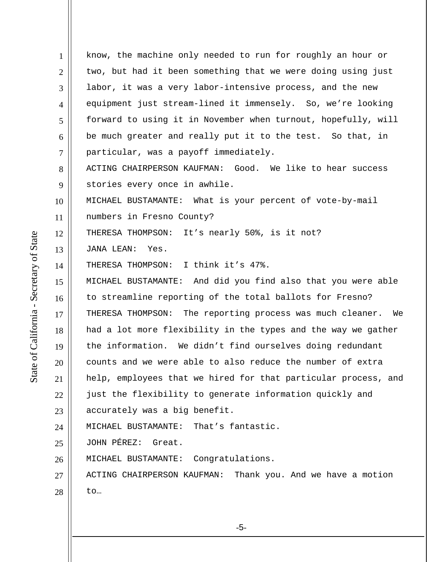1 2 3 4 5 6 7 8 9 10 11 12 13 14 15 16 17 18 19 20 21 22 23 24 25 26 27 28 know, the machine only needed to run for roughly an hour or two, but had it been something that we were doing using just labor, it was a very labor-intensive process, and the new equipment just stream-lined it immensely. So, we're looking forward to using it in November when turnout, hopefully, will be much greater and really put it to the test. So that, in particular, was a payoff immediately. ACTING CHAIRPERSON KAUFMAN: Good. We like to hear success stories every once in awhile. MICHAEL BUSTAMANTE: What is your percent of vote-by-mail numbers in Fresno County? THERESA THOMPSON: It's nearly 50%, is it not? JANA LEAN: Yes. THERESA THOMPSON: I think it's 47%. MICHAEL BUSTAMANTE: And did you find also that you were able to streamline reporting of the total ballots for Fresno? THERESA THOMPSON: The reporting process was much cleaner. We had a lot more flexibility in the types and the way we gather the information. We didn't find ourselves doing redundant counts and we were able to also reduce the number of extra help, employees that we hired for that particular process, and just the flexibility to generate information quickly and accurately was a big benefit. MICHAEL BUSTAMANTE: That's fantastic. JOHN PÉREZ: Great. MICHAEL BUSTAMANTE: Congratulations. ACTING CHAIRPERSON KAUFMAN: Thank you. And we have a motion to…

State of California - Secretary of State State of California - Secretary of State

-5-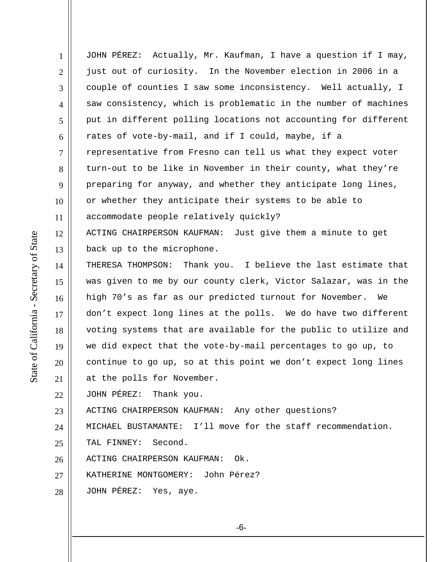1 2 3 4 5 6 7 8 9 10 11 12 13 14 15 16 17 18 19 20 21 22 JOHN PÉREZ: Actually, Mr. Kaufman, I have a question if I may, just out of curiosity. In the November election in 2006 in a couple of counties I saw some inconsistency. Well actually, I saw consistency, which is problematic in the number of machines put in different polling locations not accounting for different rates of vote-by-mail, and if I could, maybe, if a representative from Fresno can tell us what they expect voter turn-out to be like in November in their county, what they're preparing for anyway, and whether they anticipate long lines, or whether they anticipate their systems to be able to accommodate people relatively quickly? ACTING CHAIRPERSON KAUFMAN: Just give them a minute to get back up to the microphone. THERESA THOMPSON: Thank you. I believe the last estimate that was given to me by our county clerk, Victor Salazar, was in the high 70's as far as our predicted turnout for November. We don't expect long lines at the polls. We do have two different voting systems that are available for the public to utilize and we did expect that the vote-by-mail percentages to go up, to continue to go up, so at this point we don't expect long lines at the polls for November. JOHN PÉREZ: Thank you.

23 ACTING CHAIRPERSON KAUFMAN: Any other questions?

24 MICHAEL BUSTAMANTE: I'll move for the staff recommendation.

25 TAL FINNEY: Second.

26 ACTING CHAIRPERSON KAUFMAN: Ok.

27 KATHERINE MONTGOMERY: John Pérez?

28 JOHN PÉREZ: Yes, aye.

State of California - Secretary of State State of California - Secretary of State

-6-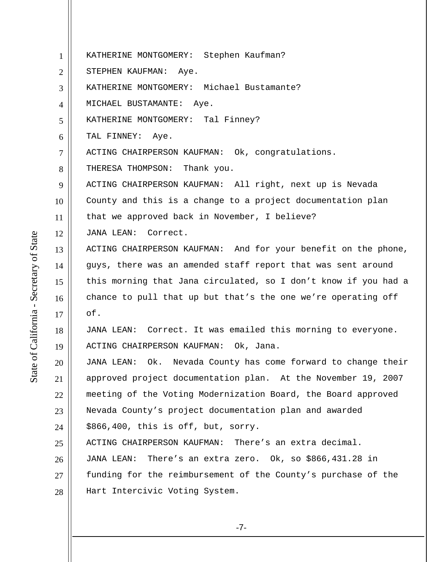1 2 3 4 5 6 7 8 9 10 11 12 13 14 15 16 17 18 19 20 21 22 23 24 25 26 27 28 KATHERINE MONTGOMERY: Stephen Kaufman? STEPHEN KAUFMAN: Aye. KATHERINE MONTGOMERY: Michael Bustamante? MICHAEL BUSTAMANTE: Aye. KATHERINE MONTGOMERY: Tal Finney? TAL FINNEY: Aye. ACTING CHAIRPERSON KAUFMAN: Ok, congratulations. THERESA THOMPSON: Thank you. ACTING CHAIRPERSON KAUFMAN: All right, next up is Nevada County and this is a change to a project documentation plan that we approved back in November, I believe? JANA LEAN: Correct. ACTING CHAIRPERSON KAUFMAN: And for your benefit on the phone, guys, there was an amended staff report that was sent around this morning that Jana circulated, so I don't know if you had a chance to pull that up but that's the one we're operating off of. JANA LEAN: Correct. It was emailed this morning to everyone. ACTING CHAIRPERSON KAUFMAN: Ok, Jana. JANA LEAN: Ok. Nevada County has come forward to change their approved project documentation plan. At the November 19, 2007 meeting of the Voting Modernization Board, the Board approved Nevada County's project documentation plan and awarded \$866,400, this is off, but, sorry. ACTING CHAIRPERSON KAUFMAN: There's an extra decimal. JANA LEAN: There's an extra zero. Ok, so \$866,431.28 in funding for the reimbursement of the County's purchase of the Hart Intercivic Voting System.

State of California - Secretary of State State of California - Secretary of State

-7-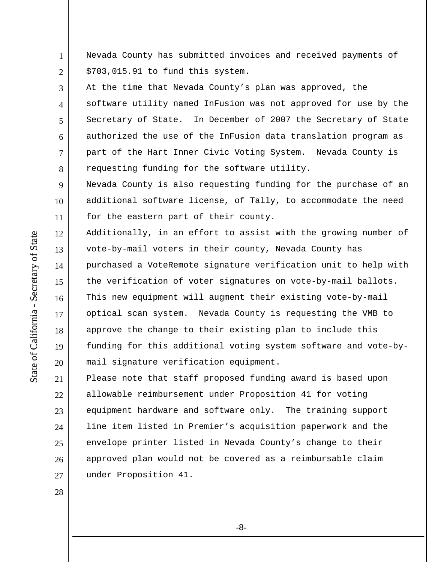1 2 Nevada County has submitted invoices and received payments of \$703,015.91 to fund this system.

3 4 5 6 7 8 At the time that Nevada County's plan was approved, the software utility named InFusion was not approved for use by the Secretary of State. In December of 2007 the Secretary of State authorized the use of the InFusion data translation program as part of the Hart Inner Civic Voting System. Nevada County is requesting funding for the software utility.

9 10 11 Nevada County is also requesting funding for the purchase of an additional software license, of Tally, to accommodate the need for the eastern part of their county.

12 13 14 15 16 17 18 19 20 Additionally, in an effort to assist with the growing number of vote-by-mail voters in their county, Nevada County has purchased a VoteRemote signature verification unit to help with the verification of voter signatures on vote-by-mail ballots. This new equipment will augment their existing vote-by-mail optical scan system. Nevada County is requesting the VMB to approve the change to their existing plan to include this funding for this additional voting system software and vote-bymail signature verification equipment.

21 22 23 24 25 26 27 Please note that staff proposed funding award is based upon allowable reimbursement under Proposition 41 for voting equipment hardware and software only. The training support line item listed in Premier's acquisition paperwork and the envelope printer listed in Nevada County's change to their approved plan would not be covered as a reimbursable claim under Proposition 41.

State of California - Secretary of State State of California - Secretary of State

28

-8-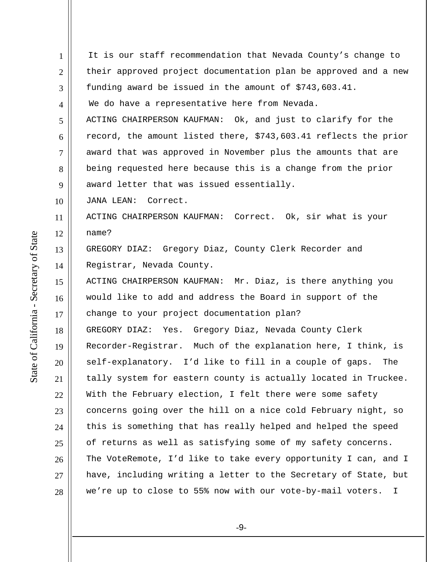1 2 3 4 5 6 7 8 9 10 11 12 13 14 15 16 17 18 19 20 21 22 23 24 25 26 27 28 It is our staff recommendation that Nevada County's change to their approved project documentation plan be approved and a new funding award be issued in the amount of \$743,603.41. We do have a representative here from Nevada. ACTING CHAIRPERSON KAUFMAN: Ok, and just to clarify for the record, the amount listed there, \$743,603.41 reflects the prior award that was approved in November plus the amounts that are being requested here because this is a change from the prior award letter that was issued essentially. JANA LEAN: Correct. ACTING CHAIRPERSON KAUFMAN: Correct. Ok, sir what is your name? GREGORY DIAZ: Gregory Diaz, County Clerk Recorder and Registrar, Nevada County. ACTING CHAIRPERSON KAUFMAN: Mr. Diaz, is there anything you would like to add and address the Board in support of the change to your project documentation plan? GREGORY DIAZ: Yes. Gregory Diaz, Nevada County Clerk Recorder-Registrar. Much of the explanation here, I think, is self-explanatory. I'd like to fill in a couple of gaps. The tally system for eastern county is actually located in Truckee. With the February election, I felt there were some safety concerns going over the hill on a nice cold February night, so this is something that has really helped and helped the speed of returns as well as satisfying some of my safety concerns. The VoteRemote, I'd like to take every opportunity I can, and I have, including writing a letter to the Secretary of State, but we're up to close to 55% now with our vote-by-mail voters. I

State of California - Secretary of State State of California - Secretary of State

-9-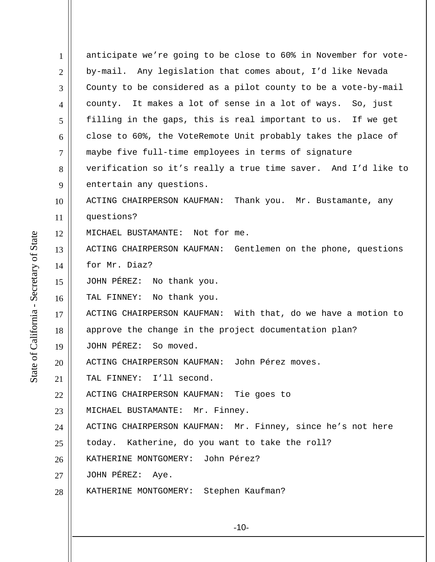| $\mathbf{1}$   | anticipate we're going to be close to 60% in November for vote- |
|----------------|-----------------------------------------------------------------|
| $\overline{2}$ | by-mail. Any legislation that comes about, I'd like Nevada      |
| 3              | County to be considered as a pilot county to be a vote-by-mail  |
| 4              | county. It makes a lot of sense in a lot of ways. So, just      |
| 5              | filling in the gaps, this is real important to us. If we get    |
| 6              | close to 60%, the VoteRemote Unit probably takes the place of   |
| $\overline{7}$ | maybe five full-time employees in terms of signature            |
| 8              | verification so it's really a true time saver. And I'd like to  |
| 9              | entertain any questions.                                        |
| 10             | ACTING CHAIRPERSON KAUFMAN: Thank you. Mr. Bustamante, any      |
| 11             | questions?                                                      |
| 12             | MICHAEL BUSTAMANTE: Not for me.                                 |
| 13             | ACTING CHAIRPERSON KAUFMAN: Gentlemen on the phone, questions   |
| 14             | for Mr. Diaz?                                                   |
| 15             | JOHN PÉREZ: No thank you.                                       |
| 16             | TAL FINNEY:<br>No thank you.                                    |
| 17             | ACTING CHAIRPERSON KAUFMAN: With that, do we have a motion to   |
| 18             | approve the change in the project documentation plan?           |
| 19             | JOHN PÉREZ: So moved.                                           |
| 20             | John Pérez moves.<br>ACTING CHAIRPERSON KAUFMAN:                |
| 21             | TAL FINNEY: I'll second.                                        |
| 22             | ACTING CHAIRPERSON KAUFMAN: Tie goes to                         |
| 23             | MICHAEL BUSTAMANTE: Mr. Finney.                                 |
| 24             | ACTING CHAIRPERSON KAUFMAN: Mr. Finney, since he's not here     |
| 25             | today. Katherine, do you want to take the roll?                 |
| 26             | KATHERINE MONTGOMERY: John Pérez?                               |
| 27             | JOHN PÉREZ: Aye.                                                |
| 28             | KATHERINE MONTGOMERY: Stephen Kaufman?                          |
|                |                                                                 |
|                |                                                                 |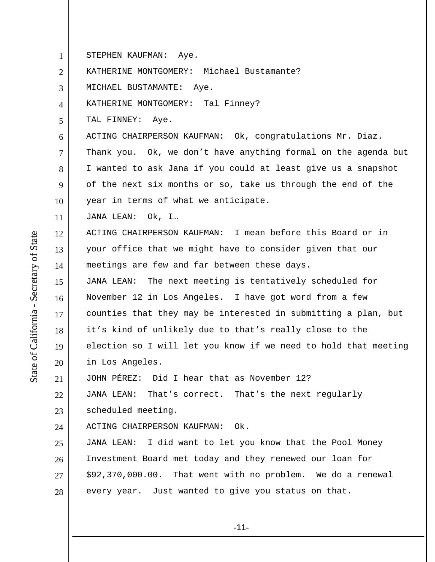1 2 3 4 5 6 7 8 9 10 11 12 13 14 STEPHEN KAUFMAN: Aye. KATHERINE MONTGOMERY: Michael Bustamante? MICHAEL BUSTAMANTE: Aye. KATHERINE MONTGOMERY: Tal Finney? TAL FINNEY: Aye. ACTING CHAIRPERSON KAUFMAN: Ok, congratulations Mr. Diaz. Thank you. Ok, we don't have anything formal on the agenda but I wanted to ask Jana if you could at least give us a snapshot of the next six months or so, take us through the end of the year in terms of what we anticipate. JANA LEAN: Ok, I… ACTING CHAIRPERSON KAUFMAN: I mean before this Board or in your office that we might have to consider given that our meetings are few and far between these days.

JANA LEAN: The next meeting is tentatively scheduled for November 12 in Los Angeles. I have got word from a few counties that they may be interested in submitting a plan, but it's kind of unlikely due to that's really close to the election so I will let you know if we need to hold that meeting in Los Angeles.

21 JOHN PÉREZ: Did I hear that as November 12?

22 23 JANA LEAN: That's correct. That's the next regularly scheduled meeting.

24 ACTING CHAIRPERSON KAUFMAN: Ok.

25 26 27 28 JANA LEAN: I did want to let you know that the Pool Money Investment Board met today and they renewed our loan for \$92,370,000.00. That went with no problem. We do a renewal every year. Just wanted to give you status on that.

15

16

17

18

19

20

-11-